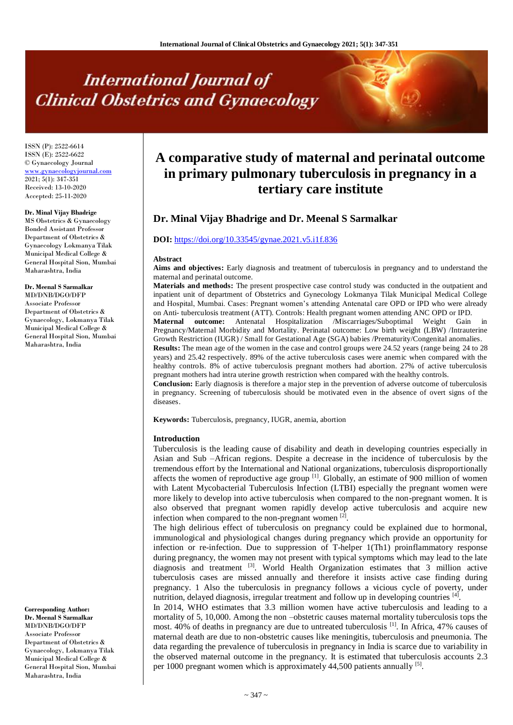# **International Journal of Clinical Obstetrics and Gynaecology**

ISSN (P): 2522-6614 ISSN (E): 2522-6622 © Gynaecology Journal [www.gynaecologyjournal.com](http://www.gynaecologyjournal.com/) 2021; 5(1): 347-351 Received: 13-10-2020 Accepted: 25-11-2020

#### **Dr. Minal Vijay Bhadrige**

MS Obstetrics & Gynaecology Bonded Assistant Professor Department of Obstetrics & Gynaecology Lokmanya Tilak Municipal Medical College & General Hospital Sion, Mumbai Maharashtra, India

#### **Dr. Meenal S Sarmalkar** MD/DNB/DGO/DFP Associate Professor

Department of Obstetrics & Gynaecology, Lokmanya Tilak Municipal Medical College & General Hospital Sion, Mumbai Maharashtra, India

# **Corresponding Author:**

**Dr. Meenal S Sarmalkar** MD/DNB/DGO/DFP Associate Professor Department of Obstetrics & Gynaecology, Lokmanya Tilak Municipal Medical College & General Hospital Sion, Mumbai Maharashtra, India

# **A comparative study of maternal and perinatal outcome in primary pulmonary tuberculosis in pregnancy in a tertiary care institute**

# **Dr. Minal Vijay Bhadrige and Dr. Meenal S Sarmalkar**

# **DOI:** <https://doi.org/10.33545/gynae.2021.v5.i1f.836>

#### **Abstract**

**Aims and objectives:** Early diagnosis and treatment of tuberculosis in pregnancy and to understand the maternal and perinatal outcome.

**Materials and methods:** The present prospective case control study was conducted in the outpatient and inpatient unit of department of Obstetrics and Gynecology Lokmanya Tilak Municipal Medical College and Hospital, Mumbai. Cases: Pregnant women's attending Antenatal care OPD or IPD who were already on Anti- tuberculosis treatment (ATT). Controls: Health pregnant women attending ANC OPD or IPD.

**Maternal outcome:** Antenatal Hospitalization /Miscarriages/Suboptimal Weight Gain Pregnancy/Maternal Morbidity and Mortality. Perinatal outcome: Low birth weight (LBW) /Intrauterine Growth Restriction (IUGR) / Small for Gestational Age (SGA) babies /Prematurity/Congenital anomalies. **Results:** The mean age of the women in the case and control groups were 24.52 years (range being 24 to 28 years) and 25.42 respectively. 89% of the active tuberculosis cases were anemic when compared with the healthy controls. 8% of active tuberculosis pregnant mothers had abortion. 27% of active tuberculosis pregnant mothers had intra uterine growth restriction when compared with the healthy controls.

**Conclusion:** Early diagnosis is therefore a major step in the prevention of adverse outcome of tuberculosis in pregnancy. Screening of tuberculosis should be motivated even in the absence of overt signs of the diseases.

**Keywords:** Tuberculosis, pregnancy, IUGR, anemia, abortion

#### **Introduction**

Tuberculosis is the leading cause of disability and death in developing countries especially in Asian and Sub –African regions. Despite a decrease in the incidence of tuberculosis by the tremendous effort by the International and National organizations, tuberculosis disproportionally affects the women of reproductive age group  $\left[1\right]$ . Globally, an estimate of 900 million of women with Latent Mycobacterial Tuberculosis Infection (LTBI) especially the pregnant women were more likely to develop into active tuberculosis when compared to the non-pregnant women. It is also observed that pregnant women rapidly develop active tuberculosis and acquire new infection when compared to the non-pregnant women  $^{[2]}$ .

The high delirious effect of tuberculosis on pregnancy could be explained due to hormonal, immunological and physiological changes during pregnancy which provide an opportunity for infection or re-infection. Due to suppression of T-helper 1(Th1) proinflammatory response during pregnancy, the women may not present with typical symptoms which may lead to the late diagnosis and treatment [3]. World Health Organization estimates that 3 million active tuberculosis cases are missed annually and therefore it insists active case finding during pregnancy. 1 Also the tuberculosis in pregnancy follows a vicious cycle of poverty, under nutrition, delayed diagnosis, irregular treatment and follow up in developing countries [4].

In 2014, WHO estimates that 3.3 million women have active tuberculosis and leading to a mortality of 5, 10,000. Among the non-obstetric causes maternal mortality tuberculosis tops the most. 40% of deaths in pregnancy are due to untreated tuberculosis [1]. In Africa, 47% causes of maternal death are due to non-obstetric causes like meningitis, tuberculosis and pneumonia. The data regarding the prevalence of tuberculosis in pregnancy in India is scarce due to variability in the observed maternal outcome in the pregnancy. It is estimated that tuberculosis accounts 2.3 per 1000 pregnant women which is approximately  $44,500$  patients annually  $^{[5]}$ .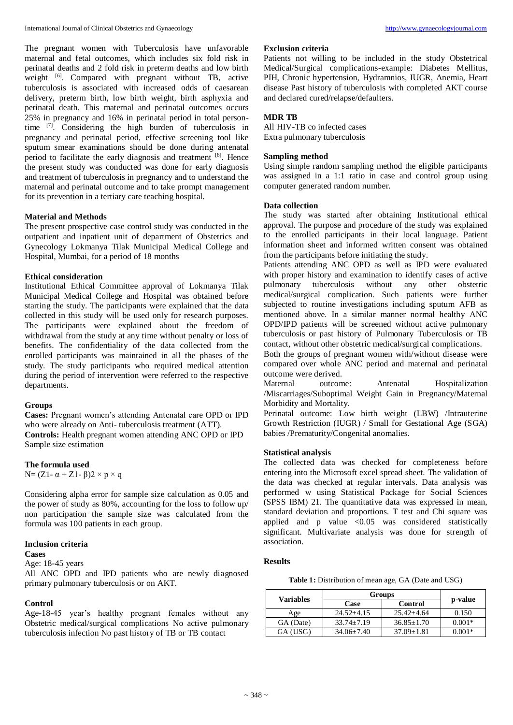The pregnant women with Tuberculosis have unfavorable maternal and fetal outcomes, which includes six fold risk in perinatal deaths and 2 fold risk in preterm deaths and low birth weight <sup>[6]</sup>. Compared with pregnant without TB, active tuberculosis is associated with increased odds of caesarean delivery, preterm birth, low birth weight, birth asphyxia and perinatal death. This maternal and perinatal outcomes occurs 25% in pregnancy and 16% in perinatal period in total persontime <sup>[7]</sup>. Considering the high burden of tuberculosis in pregnancy and perinatal period, effective screening tool like sputum smear examinations should be done during antenatal period to facilitate the early diagnosis and treatment [8]. Hence the present study was conducted was done for early diagnosis and treatment of tuberculosis in pregnancy and to understand the maternal and perinatal outcome and to take prompt management for its prevention in a tertiary care teaching hospital.

# **Material and Methods**

The present prospective case control study was conducted in the outpatient and inpatient unit of department of Obstetrics and Gynecology Lokmanya Tilak Municipal Medical College and Hospital, Mumbai, for a period of 18 months

#### **Ethical consideration**

Institutional Ethical Committee approval of Lokmanya Tilak Municipal Medical College and Hospital was obtained before starting the study. The participants were explained that the data collected in this study will be used only for research purposes. The participants were explained about the freedom of withdrawal from the study at any time without penalty or loss of benefits. The confidentiality of the data collected from the enrolled participants was maintained in all the phases of the study. The study participants who required medical attention during the period of intervention were referred to the respective departments.

#### **Groups**

**Cases:** Pregnant women's attending Antenatal care OPD or IPD who were already on Anti- tuberculosis treatment (ATT). **Controls:** Health pregnant women attending ANC OPD or IPD Sample size estimation

#### **The formula used**

N=  $(Z1 - \alpha + Z1 - \beta)2 \times p \times q$ 

Considering alpha error for sample size calculation as 0.05 and the power of study as 80%, accounting for the loss to follow up/ non participation the sample size was calculated from the formula was 100 patients in each group.

# **Inclusion criteria**

#### **Cases**

Age: 18-45 years

All ANC OPD and IPD patients who are newly diagnosed primary pulmonary tuberculosis or on AKT.

#### **Control**

Age-18-45 year's healthy pregnant females without any Obstetric medical/surgical complications No active pulmonary tuberculosis infection No past history of TB or TB contact

# **Exclusion criteria**

Patients not willing to be included in the study Obstetrical Medical/Surgical complications-example: Diabetes Mellitus, PIH, Chronic hypertension, Hydramnios, IUGR, Anemia, Heart disease Past history of tuberculosis with completed AKT course and declared cured/relapse/defaulters.

# **MDR TB**

All HIV-TB co infected cases Extra pulmonary tuberculosis

# **Sampling method**

Using simple random sampling method the eligible participants was assigned in a 1:1 ratio in case and control group using computer generated random number.

# **Data collection**

The study was started after obtaining Institutional ethical approval. The purpose and procedure of the study was explained to the enrolled participants in their local language. Patient information sheet and informed written consent was obtained from the participants before initiating the study.

Patients attending ANC OPD as well as IPD were evaluated with proper history and examination to identify cases of active pulmonary tuberculosis without any other obstetric medical/surgical complication. Such patients were further subjected to routine investigations including sputum AFB as mentioned above. In a similar manner normal healthy ANC OPD/IPD patients will be screened without active pulmonary tuberculosis or past history of Pulmonary Tuberculosis or TB contact, without other obstetric medical/surgical complications.

Both the groups of pregnant women with/without disease were compared over whole ANC period and maternal and perinatal outcome were derived.

Maternal outcome: Antenatal Hospitalization /Miscarriages/Suboptimal Weight Gain in Pregnancy/Maternal Morbidity and Mortality.

Perinatal outcome: Low birth weight (LBW) /Intrauterine Growth Restriction (IUGR) / Small for Gestational Age (SGA) babies /Prematurity/Congenital anomalies.

# **Statistical analysis**

The collected data was checked for completeness before entering into the Microsoft excel spread sheet. The validation of the data was checked at regular intervals. Data analysis was performed w using Statistical Package for Social Sciences (SPSS IBM) 21. The quantitative data was expressed in mean, standard deviation and proportions. T test and Chi square was applied and p value <0.05 was considered statistically significant. Multivariate analysis was done for strength of association.

# **Results**

Table 1: Distribution of mean age, GA (Date and USG)

| <b>Variables</b> | Groups           |                  |          |  |
|------------------|------------------|------------------|----------|--|
|                  | Case             | Control          | p-value  |  |
| Age              | $24.52 \pm 4.15$ | $25.42 + 4.64$   | 0.150    |  |
| GA (Date)        | $33.74 \pm 7.19$ | $36.85 \pm 1.70$ | $0.001*$ |  |
| GA (USG)         | $34.06 \pm 7.40$ | $37.09 \pm 1.81$ | $0.001*$ |  |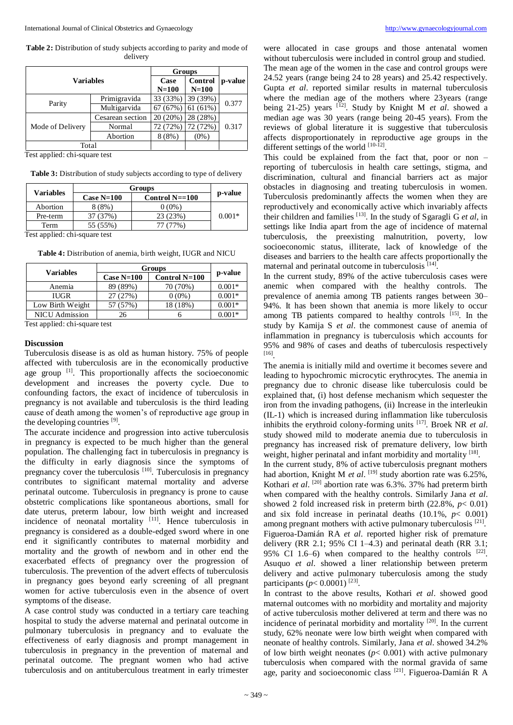Table 2: Distribution of study subjects according to parity and mode of delivery

| <b>Variables</b> |                  | Groups   |          |         |  |
|------------------|------------------|----------|----------|---------|--|
|                  |                  | Case     | Control  | p-value |  |
|                  |                  | $N=100$  | $N=100$  |         |  |
| Parity           | Primigravida     | 33 (33%) | 39 (39%) | 0.377   |  |
|                  | Multigarvida     | 67(67%)  | 61(61%)  |         |  |
| Mode of Delivery | Cesarean section | 20(20%)  | 28 (28%) |         |  |
|                  | Normal           | 72 (72%) | 72 (72%) | 0.317   |  |
|                  | Abortion         | $8(8\%)$ | $(0\%)$  |         |  |
| Total            |                  |          |          |         |  |

Test applied: chi-square test

| Table 3: Distribution of study subjects according to type of delivery |  |  |  |  |
|-----------------------------------------------------------------------|--|--|--|--|
|-----------------------------------------------------------------------|--|--|--|--|

| <b>Variables</b> | Groups       |                        |          |
|------------------|--------------|------------------------|----------|
|                  | Case $N=100$ | Control $N=\equiv 100$ | p-value  |
| Abortion         | $8(8\%)$     | $0(0\%)$               |          |
| Pre-term         | 37 (37%)     | 23(23%)                | $0.001*$ |
| Term             | 55 (55%)     | 77 (77%)               |          |
| .                |              |                        |          |

Test applied: chi-square test

|                       | <b>Groups</b> |                 |          |  |
|-----------------------|---------------|-----------------|----------|--|
| Variables             | Case $N=100$  | Control $N=100$ | p-value  |  |
| Anemia                | 89 (89%)      | 70 (70%)        | $0.001*$ |  |
| <b>IUGR</b>           | 27 (27%)      | $0(0\%)$        | $0.001*$ |  |
| Low Birth Weight      | 57 (57%)      | 18 (18%)        | $0.001*$ |  |
| <b>NICU</b> Admission | 26            |                 | $0.001*$ |  |

**Table 4:** Distribution of anemia, birth weight, IUGR and NICU

Test applied: chi-square test

#### **Discussion**

Tuberculosis disease is as old as human history. 75% of people affected with tuberculosis are in the economically productive age group [1]. This proportionally affects the socioeconomic development and increases the poverty cycle. Due to confounding factors, the exact of incidence of tuberculosis in pregnancy is not available and tuberculosis is the third leading cause of death among the women's of reproductive age group in the developing countries [9].

The accurate incidence and progression into active tuberculosis in pregnancy is expected to be much higher than the general population. The challenging fact in tuberculosis in pregnancy is the difficulty in early diagnosis since the symptoms of pregnancy cover the tuberculosis  $[10]$ . Tuberculosis in pregnancy contributes to significant maternal mortality and adverse perinatal outcome. Tuberculosis in pregnancy is prone to cause obstetric complications like spontaneous abortions, small for date uterus, preterm labour, low birth weight and increased incidence of neonatal mortality [11]. Hence tuberculosis in pregnancy is considered as a double-edged sword where in one end it significantly contributes to maternal morbidity and mortality and the growth of newborn and in other end the exacerbated effects of pregnancy over the progression of tuberculosis. The prevention of the advert effects of tuberculosis in pregnancy goes beyond early screening of all pregnant women for active tuberculosis even in the absence of overt symptoms of the disease.

A case control study was conducted in a tertiary care teaching hospital to study the adverse maternal and perinatal outcome in pulmonary tuberculosis in pregnancy and to evaluate the effectiveness of early diagnosis and prompt management in tuberculosis in pregnancy in the prevention of maternal and perinatal outcome. The pregnant women who had active tuberculosis and on antituberculous treatment in early trimester

were allocated in case groups and those antenatal women without tuberculosis were included in control group and studied. The mean age of the women in the case and control groups were 24.52 years (range being 24 to 28 years) and 25.42 respectively. Gupta *et al*. reported similar results in maternal tuberculosis where the median age of the mothers where 23years (range being 21-25) years <sup>[12]</sup>. Study by Knight M *et al.* showed a median age was 30 years (range being 20-45 years). From the reviews of global literature it is suggestive that tuberculosis affects disproportionately in reproductive age groups in the different settings of the world  $[10-12]$ .

This could be explained from the fact that, poor or non – reporting of tuberculosis in health care settings, stigma, and discrimination, cultural and financial barriers act as major obstacles in diagnosing and treating tuberculosis in women. Tuberculosis predominantly affects the women when they are reproductively and economically active which invariably affects their children and families [13]. In the study of Sgaragli G *et al*, in settings like India apart from the age of incidence of maternal tuberculosis, the preexisting malnutrition, poverty, low socioeconomic status, illiterate, lack of knowledge of the diseases and barriers to the health care affects proportionally the maternal and perinatal outcome in tuberculosis [14].

In the current study, 89% of the active tuberculosis cases were anemic when compared with the healthy controls. The prevalence of anemia among TB patients ranges between 30– 94%. It has been shown that anemia is more likely to occur among TB patients compared to healthy controls <sup>[15]</sup>. In the study by Kamija S *et al*. the commonest cause of anemia of inflammation in pregnancy is tuberculosis which accounts for 95% and 98% of cases and deaths of tuberculosis respectively [16] .

The anemia is initially mild and overtime it becomes severe and leading to hypochromic microcytic erythrocytes. The anemia in pregnancy due to chronic disease like tuberculosis could be explained that, (i) host defense mechanism which sequester the iron from the invading pathogens, (ii) Increase in the interleukin (IL-1) which is increased during inflammation like tuberculosis inhibits the erythroid colony-forming units [17] . Broek NR *et al*. study showed mild to moderate anemia due to tuberculosis in pregnancy has increased risk of premature delivery, low birth weight, higher perinatal and infant morbidity and mortality [18].

In the current study, 8% of active tuberculosis pregnant mothers had abortion, Knight M *et al*. [19] study abortion rate was 6.25%, Kothari *et al*. [20] abortion rate was 6.3%. 37% had preterm birth when compared with the healthy controls. Similarly Jana *et al*. showed 2 fold increased risk in preterm birth (22.8%, *p*< 0.01) and six fold increase in perinatal deaths  $(10.1\%, p < 0.001)$ among pregnant mothers with active pulmonary tuberculosis [21]. Figueroa-Damián RA *et al*. reported higher risk of premature delivery (RR 2.1; 95% CI 1–4.3) and perinatal death (RR 3.1; 95% CI 1.6–6) when compared to the healthy controls  $[22]$ . Asuquo *et al*. showed a liner relationship between preterm delivery and active pulmonary tuberculosis among the study participants ( $p < 0.0001$ )<sup>[23]</sup>.

In contrast to the above results, Kothari *et al*. showed good maternal outcomes with no morbidity and mortality and majority of active tuberculosis mother delivered at term and there was no incidence of perinatal morbidity and mortality [20]. In the current study, 62% neonate were low birth weight when compared with neonate of healthy controls. Similarly, Jana *et al*. showed 34.2% of low birth weight neonates  $(p < 0.001)$  with active pulmonary tuberculosis when compared with the normal gravida of same age, parity and socioeconomic class [21]. Figueroa-Damián R A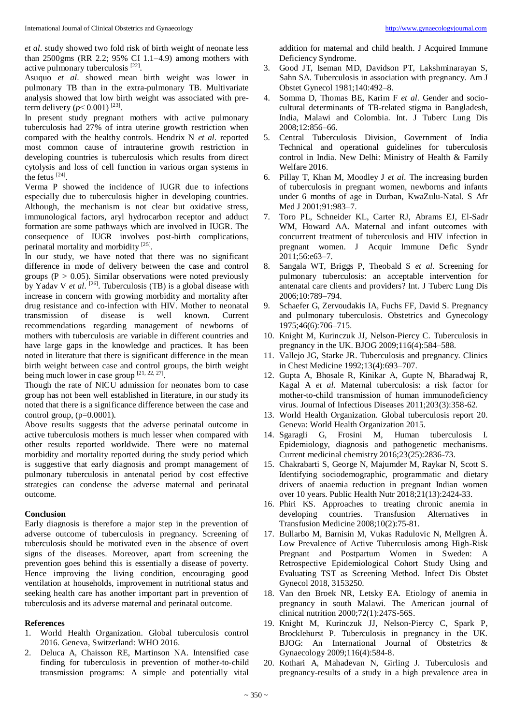*et al*. study showed two fold risk of birth weight of neonate less than 2500gms (RR 2.2; 95% CI 1.1–4.9) among mothers with active pulmonary tuberculosis  $[22]$ .

Asuquo *et al*. showed mean birth weight was lower in pulmonary TB than in the extra-pulmonary TB. Multivariate analysis showed that low birth weight was associated with preterm delivery  $(p < 0.001)^{[23]}$ .

In present study pregnant mothers with active pulmonary tuberculosis had 27% of intra uterine growth restriction when compared with the healthy controls. Hendrix N *et al*. reported most common cause of intrauterine growth restriction in developing countries is tuberculosis which results from direct cytolysis and loss of cell function in various organ systems in the fetus  $[24]$ .

Verma P showed the incidence of IUGR due to infections especially due to tuberculosis higher in developing countries. Although, the mechanism is not clear but oxidative stress, immunological factors, aryl hydrocarbon receptor and adduct formation are some pathways which are involved in IUGR. The consequence of IUGR involves post-birth complications, perinatal mortality and morbidity<sup>[25]</sup>.

In our study, we have noted that there was no significant difference in mode of delivery between the case and control groups ( $P > 0.05$ ). Similar observations were noted previously by Yadav V et al. <sup>[26]</sup>. Tuberculosis (TB) is a global disease with increase in concern with growing morbidity and mortality after drug resistance and co-infection with HIV. Mother to neonatal<br>transmission of disease is well known. Current transmission of disease is well known. Current recommendations regarding management of newborns of mothers with tuberculosis are variable in different countries and have large gaps in the knowledge and practices. It has been noted in literature that there is significant difference in the mean birth weight between case and control groups, the birth weight being much lower in case group  $[21, 22, 27]$ .

Though the rate of NICU admission for neonates born to case group has not been well established in literature, in our study its noted that there is a significance difference between the case and control group,  $(p=0.0001)$ .

Above results suggests that the adverse perinatal outcome in active tuberculosis mothers is much lesser when compared with other results reported worldwide. There were no maternal morbidity and mortality reported during the study period which is suggestive that early diagnosis and prompt management of pulmonary tuberculosis in antenatal period by cost effective strategies can condense the adverse maternal and perinatal outcome.

# **Conclusion**

Early diagnosis is therefore a major step in the prevention of adverse outcome of tuberculosis in pregnancy. Screening of tuberculosis should be motivated even in the absence of overt signs of the diseases. Moreover, apart from screening the prevention goes behind this is essentially a disease of poverty. Hence improving the living condition, encouraging good ventilation at households, improvement in nutritional status and seeking health care has another important part in prevention of tuberculosis and its adverse maternal and perinatal outcome.

# **References**

- 1. World Health Organization. Global tuberculosis control 2016. Geneva, Switzerland: WHO 2016.
- 2. Deluca A, Chaisson RE, Martinson NA. Intensified case finding for tuberculosis in prevention of mother-to-child transmission programs: A simple and potentially vital

addition for maternal and child health. J Acquired Immune Deficiency Syndrome.

- 3. Good JT, Iseman MD, Davidson PT, Lakshminarayan S, Sahn SA. Tuberculosis in association with pregnancy. Am J Obstet Gynecol 1981;140:492–8.
- 4. Somma D, Thomas BE, Karim F *et al*. Gender and sociocultural determinants of TB-related stigma in Bangladesh, India, Malawi and Colombia. Int. J Tuberc Lung Dis 2008;12:856–66.
- 5. Central Tuberculosis Division, Government of India Technical and operational guidelines for tuberculosis control in India. New Delhi: Ministry of Health & Family Welfare 2016.
- 6. Pillay T, Khan M, Moodley J *et al*. The increasing burden of tuberculosis in pregnant women, newborns and infants under 6 months of age in Durban, KwaZulu-Natal. S Afr Med J 2001;91:983–7.
- 7. Toro PL, Schneider KL, Carter RJ, Abrams EJ, El-Sadr WM, Howard AA. Maternal and infant outcomes with concurrent treatment of tuberculosis and HIV infection in pregnant women. J Acquir Immune Defic Syndr 2011;56:e63–7.
- 8. Sangala WT, Briggs P, Theobald S *et al*. Screening for pulmonary tuberculosis: an acceptable intervention for antenatal care clients and providers? Int. J Tuberc Lung Dis 2006;10:789–794.
- 9. Schaefer G, Zervoudakis IA, Fuchs FF, David S. Pregnancy and pulmonary tuberculosis. Obstetrics and Gynecology 1975;46(6):706–715.
- 10. Knight M, Kurinczuk JJ, Nelson-Piercy C. Tuberculosis in pregnancy in the UK. BJOG 2009;116(4):584–588.
- 11. Vallejo JG, Starke JR. Tuberculosis and pregnancy. Clinics in Chest Medicine 1992;13(4):693–707.
- 12. Gupta A, Bhosale R, Kinikar A, Gupte N, Bharadwaj R, Kagal A *et al*. Maternal tuberculosis: a risk factor for mother-to-child transmission of human immunodeficiency virus. Journal of Infectious Diseases 2011;203(3):358-62.
- 13. World Health Organization. Global tuberculosis report 20. Geneva: World Health Organization 2015.
- 14. Sgaragli G, Frosini M, Human tuberculosis I. Epidemiology, diagnosis and pathogenetic mechanisms. Current medicinal chemistry 2016;23(25):2836-73.
- 15. Chakrabarti S, George N, Majumder M, Raykar N, Scott S. Identifying sociodemographic, programmatic and dietary drivers of anaemia reduction in pregnant Indian women over 10 years. Public Health Nutr 2018;21(13):2424-33.
- 16. Phiri KS. Approaches to treating chronic anemia in developing countries. Transfusion Alternatives in Transfusion Medicine 2008;10(2):75-81.
- 17. Bullarbo M, Barnisin M, Vukas Radulovic N, Mellgren Å. Low Prevalence of Active Tuberculosis among High-Risk Pregnant and Postpartum Women in Sweden: A Retrospective Epidemiological Cohort Study Using and Evaluating TST as Screening Method. Infect Dis Obstet Gynecol 2018, 3153250.
- 18. Van den Broek NR, Letsky EA. Etiology of anemia in pregnancy in south Malawi. The American journal of clinical nutrition 2000;72(1):247S-56S.
- 19. Knight M, Kurinczuk JJ, Nelson‐Piercy C, Spark P, Brocklehurst P. Tuberculosis in pregnancy in the UK. BJOG: An International Journal of Obstetrics & Gynaecology 2009;116(4):584-8.
- 20. Kothari A, Mahadevan N, Girling J. Tuberculosis and pregnancy-results of a study in a high prevalence area in